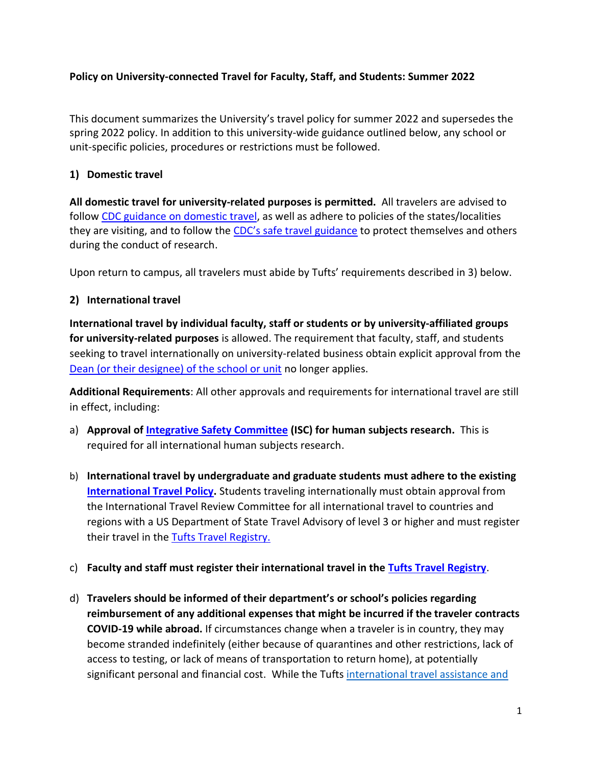### **Policy on University-connected Travel for Faculty, Staff, and Students: Summer 2022**

This document summarizes the University's travel policy for summer 2022 and supersedes the spring 2022 policy. In addition to this university-wide guidance outlined below, any school or unit-specific policies, procedures or restrictions must be followed.

## **1) Domestic travel**

**All domestic travel for university-related purposes is permitted.** All travelers are advised to follow [CDC guidance on domestic travel,](https://www.cdc.gov/coronavirus/2019-ncov/travelers/travel-during-covid19.html) as well as adhere to policies of the states/localities they are visiting, and to follow the [CDC's safe travel guid](https://www.cdc.gov/coronavirus/2019-ncov/travelers/travel-during-covid19.html)ance to protect themselves and others during the conduct of research.

Upon return to campus, all travelers must abide by Tufts' requirements described in 3) below.

## **2) International travel**

**International travel by individual faculty, staff or students or by university-affiliated groups for university-related purposes** is allowed. The requirement that faculty, staff, and students seeking to travel internationally on university-related business obtain explicit approval from the [Dean \(or their designee\) of the school or unit](file://///users/dchiga01/Library/CloudStorage/Box-Box/!!COVID-19%20Academic%20Continuance%20Documents/COVID-19%20Academic%20Continuance%20Committee%20-%20Shared%20Documents/Guardrails%20Current%20Drafts/Travel%20drafts/2021/Final/Desginees%20for%20approval%20of%20essential%20travel.pdf) no longer applies.

**Additional Requirements**: All other approvals and requirements for international travel are still in effect, including:

- a) **Approval of [Integrative Safety Committee](https://viceprovost.tufts.edu/about-isc) (ISC) for human subjects research.** This is required for all international human subjects research.
- b) **International travel by undergraduate and graduate students must adhere to the existing [International Travel Policy.](https://global.tufts.edu/sites/default/files/2020-07/Tufts_International_Travel_Policy.pdf)** Students traveling internationally must obtain approval from the International Travel Review Committee for all international travel to countries and regions with a US Department of State Travel Advisory of level 3 or higher and must register their travel in the [Tufts Travel Registry.](https://global.tufts.edu/tufts-travel-registry-0)

## c) **Faculty and staff must register their international travel in the [Tufts Travel Registry](https://global.tufts.edu/tufts-travel-registry-0)**.

d) **Travelers should be informed of their department's or school's policies regarding reimbursement of any additional expenses that might be incurred if the traveler contracts COVID-19 while abroad.** If circumstances change when a traveler is in country, they may become stranded indefinitely (either because of quarantines and other restrictions, lack of access to testing, or lack of means of transportation to return home), at potentially significant personal and financial cost. While the Tufts international travel assistance and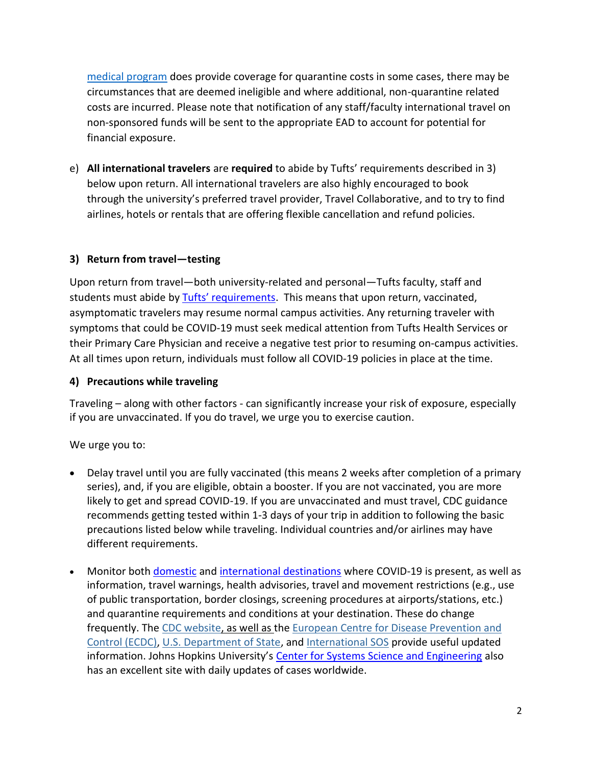[medical program](https://global.tufts.edu/global-travel/international-travel-assistance-and-medical-coverage) does provide coverage for quarantine costs in some cases, there may be circumstances that are deemed ineligible and where additional, non-quarantine related costs are incurred. Please note that notification of any staff/faculty international travel on non-sponsored funds will be sent to the appropriate EAD to account for potential for financial exposure.

e) **All international travelers** are **required** to abide by Tufts' requirements described in 3) below upon return. All international travelers are also highly encouraged to book through the university's preferred travel provider, Travel Collaborative, and to try to find airlines, hotels or rentals that are offering flexible cancellation and refund policies.

# **3) Return from travel—testing**

Upon return from travel—both university-related and personal—Tufts faculty, staff and students must abide by [Tufts' requirements](https://coronavirus.tufts.edu/testing-at-tufts#not-in-the-surveillance/routine-testing-program). This means that upon return, vaccinated, asymptomatic travelers may resume normal campus activities. Any returning traveler with symptoms that could be COVID-19 must seek medical attention from Tufts Health Services or their Primary Care Physician and receive a negative test prior to resuming on-campus activities. At all times upon return, individuals must follow all COVID-19 policies in place at the time.

## **4) Precautions while traveling**

Traveling – along with other factors - can significantly increase your risk of exposure, especially if you are unvaccinated. If you do travel, we urge you to exercise caution.

We urge you to:

- Delay travel until you are fully vaccinated (this means 2 weeks after completion of a primary series), and, if you are eligible, obtain a booster. If you are not vaccinated, you are more likely to get and spread COVID-19. If you are unvaccinated and must travel, CDC guidance recommends getting tested within 1-3 days of your trip in addition to following the basic precautions listed below while traveling. Individual countries and/or airlines may have different requirements.
- Monitor both [domestic](https://www.cdc.gov/publichealthgateway/healthdirectories/healthdepartments.html) and [international destinations](https://gisanddata.maps.arcgis.com/apps/opsdashboard/index.html#/bda7594740fd40299423467b48e9ecf6) where COVID-19 is present, as well as information, travel warnings, health advisories, travel and movement restrictions (e.g., use of public transportation, border closings, screening procedures at airports/stations, etc.) and quarantine requirements and conditions at your destination. These do change frequently. The [CDC website,](https://www.cdc.gov/coronavirus/2019-ncov/travelers/index.html) as well as the [European Centre for Disease Prevention and](https://www.ecdc.europa.eu/en/news-events/ecdc-statement-rapid-increase-covid-19-cases-italy)  [Control \(ECDC\),](https://www.ecdc.europa.eu/en/news-events/ecdc-statement-rapid-increase-covid-19-cases-italy) [U.S. Department of State,](https://travel.state.gov/content/travel/en/traveladvisories/traveladvisories.html/) and [International SOS](https://pandemic.internationalsos.com/2019-ncov/ncov-travel-restrictions-flight-operations-and-screening) provide useful updated information. Johns Hopkins University's [Center for Systems Science and Engineering](https://gisanddata.maps.arcgis.com/apps/opsdashboard/index.html#/bda7594740fd40299423467b48e9ecf6) also has an excellent site with daily updates of cases worldwide.